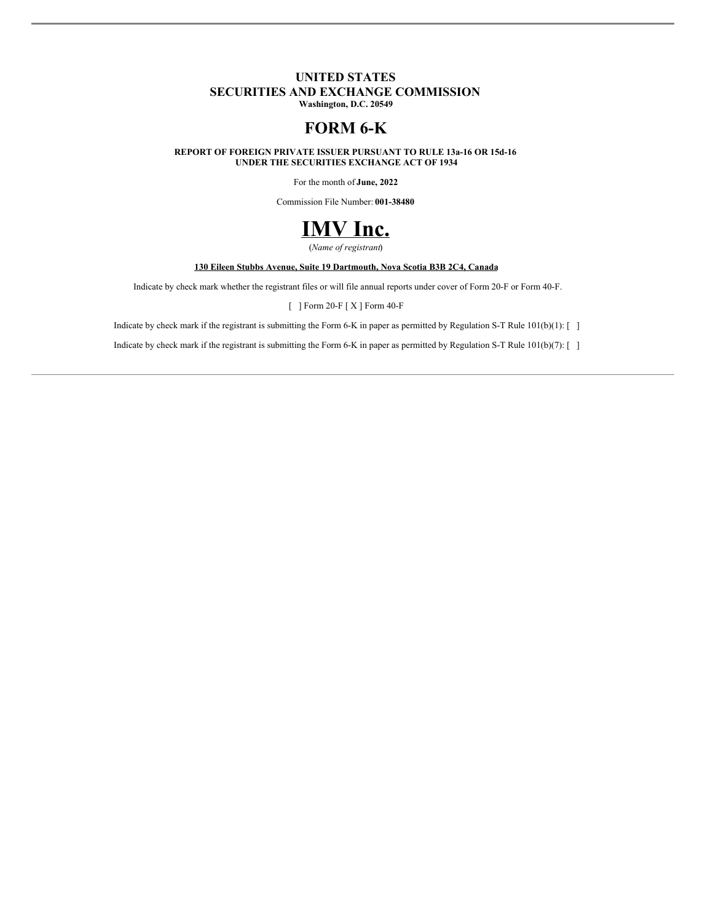## **UNITED STATES SECURITIES AND EXCHANGE COMMISSION**

**Washington, D.C. 20549**

# **FORM 6-K**

**REPORT OF FOREIGN PRIVATE ISSUER PURSUANT TO RULE 13a-16 OR 15d-16 UNDER THE SECURITIES EXCHANGE ACT OF 1934**

For the month of **June, 2022**

Commission File Number: **001-38480**



(*Name of registrant*)

#### **130 Eileen Stubbs Avenue, Suite 19 Dartmouth, Nova Scotia B3B 2C4, Canada**

Indicate by check mark whether the registrant files or will file annual reports under cover of Form 20-F or Form 40-F.

[ ] Form 20-F [ X ] Form 40-F

Indicate by check mark if the registrant is submitting the Form 6-K in paper as permitted by Regulation S-T Rule 101(b)(1): [ ]

Indicate by check mark if the registrant is submitting the Form 6-K in paper as permitted by Regulation S-T Rule 101(b)(7): [ ]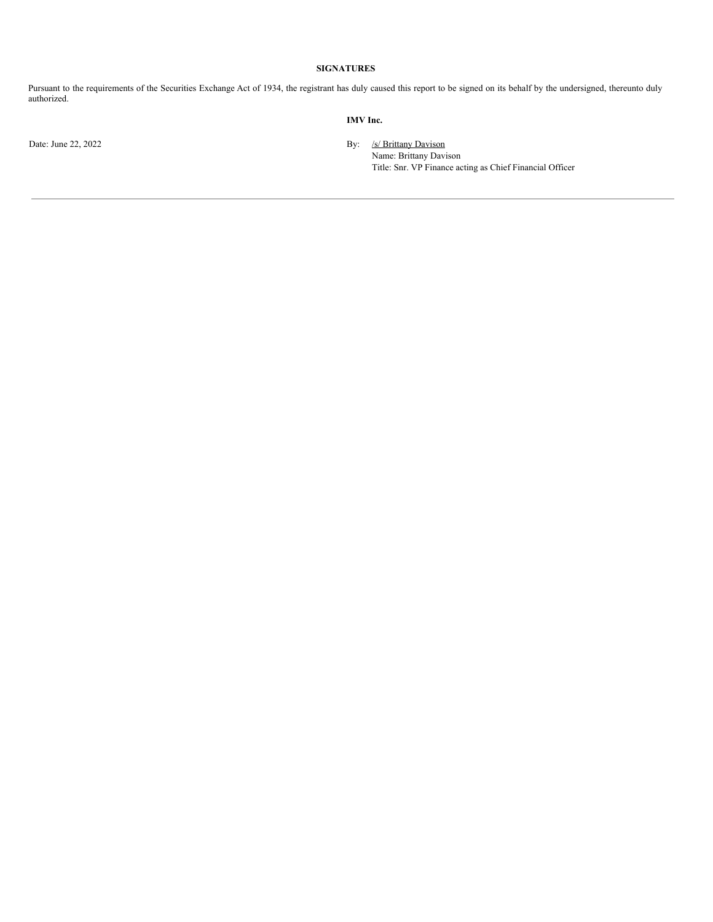## **SIGNATURES**

Pursuant to the requirements of the Securities Exchange Act of 1934, the registrant has duly caused this report to be signed on its behalf by the undersigned, thereunto duly authorized.

## **IMV Inc.**

Date: June 22, 2022 By: /s/ Brittany Davison Name: Brittany Davison Title: Snr. VP Finance acting as Chief Financial Officer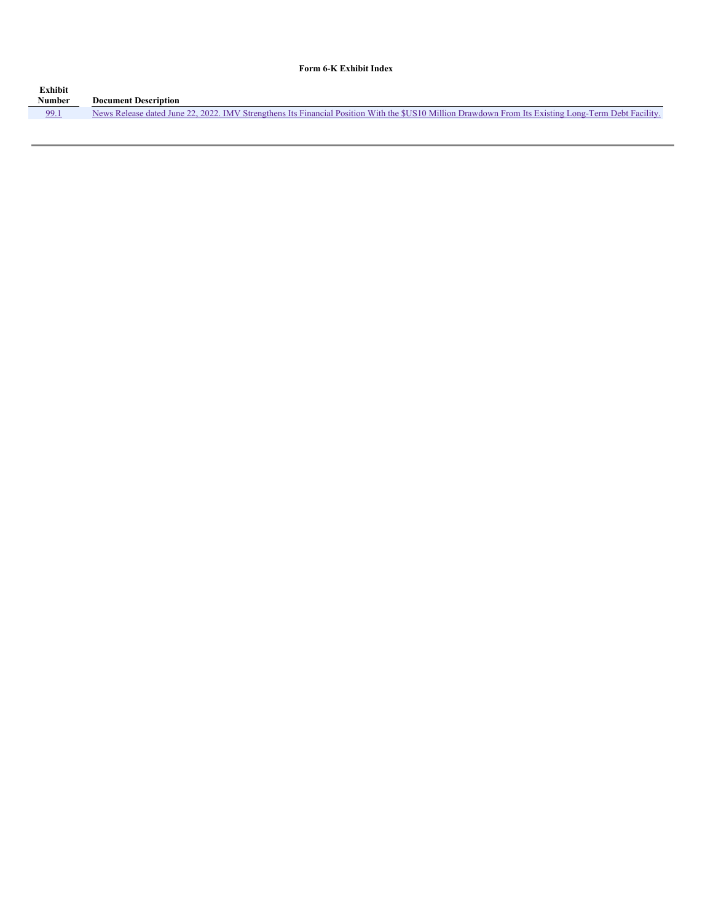## **Form 6-K Exhibit Index**

| $\nabla$ xhibit |                                                                                                                                                      |
|-----------------|------------------------------------------------------------------------------------------------------------------------------------------------------|
| Number          | Document Description                                                                                                                                 |
| 99.1            | News Release dated June 22, 2022. IMV Strengthens Its Financial Position With the \$US10 Million Drawdown From Its Existing Long-Term Debt Facility. |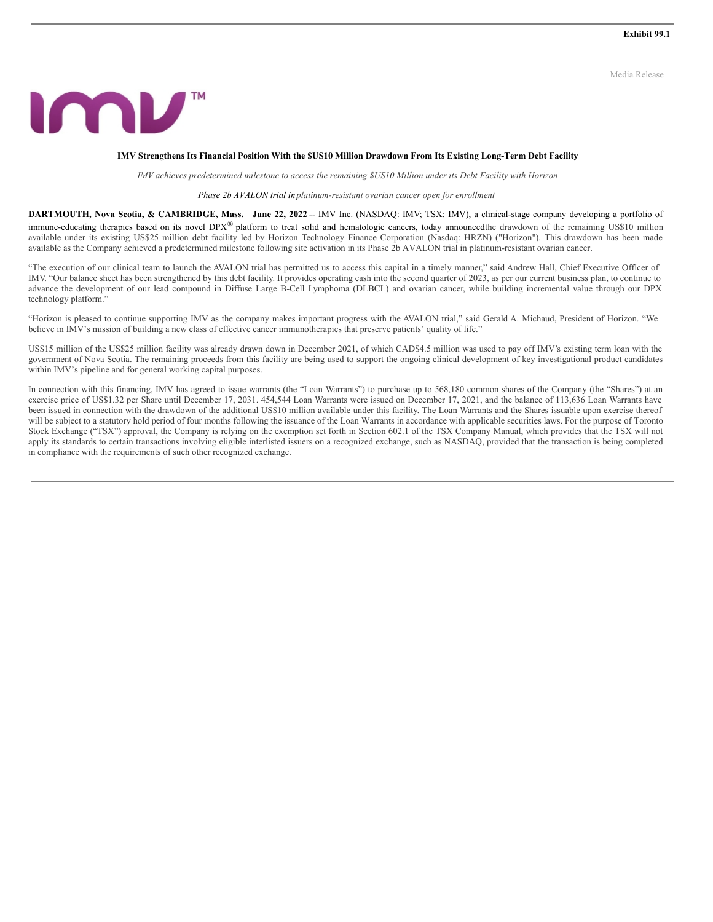Media Release



**IMV Strengthens Its Financial Position With the \$US10 Million Drawdown From Its Existing Long-Term Debt Facility**

*IMV achieves predetermined milestone to access the remaining \$US10 Million under its Debt Facility with Horizon*

*Phase 2b AVALON trial in platinum-resistant ovarian cancer open for enrollment*

**DARTMOUTH, Nova Scotia, & CAMBRIDGE, Mass.** – **June 22, 2022** -- IMV Inc. (NASDAQ: IMV; TSX: IMV), a clinical-stage company developing a portfolio of immune-educating therapies based on its novel  $DPX^{\circledast}$  platform to treat solid and hematologic cancers, today announcedthe drawdown of the remaining US\$10 million available under its existing US\$25 million debt facility led by Horizon Technology Finance Corporation (Nasdaq: HRZN) ("Horizon"). This drawdown has been made available as the Company achieved a predetermined milestone following site activation in its Phase 2b AVALON trial in platinum-resistant ovarian cancer.

"The execution of our clinical team to launch the AVALON trial has permitted us to access this capital in a timely manner," said Andrew Hall, Chief Executive Officer of IMV. "Our balance sheet has been strengthened by this debt facility. It provides operating cash into the second quarter of 2023, as per our current business plan, to continue to advance the development of our lead compound in Diffuse Large B-Cell Lymphoma (DLBCL) and ovarian cancer, while building incremental value through our DPX technology platform."

"Horizon is pleased to continue supporting IMV as the company makes important progress with the AVALON trial," said Gerald A. Michaud, President of Horizon. "We believe in IMV's mission of building a new class of effective cancer immunotherapies that preserve patients' quality of life."

US\$15 million of the US\$25 million facility was already drawn down in December 2021, of which CAD\$4.5 million was used to pay off IMV's existing term loan with the government of Nova Scotia. The remaining proceeds from this facility are being used to support the ongoing clinical development of key investigational product candidates within IMV's pipeline and for general working capital purposes.

In connection with this financing, IMV has agreed to issue warrants (the "Loan Warrants") to purchase up to 568,180 common shares of the Company (the "Shares") at an exercise price of US\$1.32 per Share until December 17, 2031. 454,544 Loan Warrants were issued on December 17, 2021, and the balance of 113,636 Loan Warrants have been issued in connection with the drawdown of the additional US\$10 million available under this facility. The Loan Warrants and the Shares issuable upon exercise thereof will be subject to a statutory hold period of four months following the issuance of the Loan Warrants in accordance with applicable securities laws. For the purpose of Toronto Stock Exchange ("TSX") approval, the Company is relying on the exemption set forth in Section 602.1 of the TSX Company Manual, which provides that the TSX will not apply its standards to certain transactions involving eligible interlisted issuers on a recognized exchange, such as NASDAQ, provided that the transaction is being completed in compliance with the requirements of such other recognized exchange.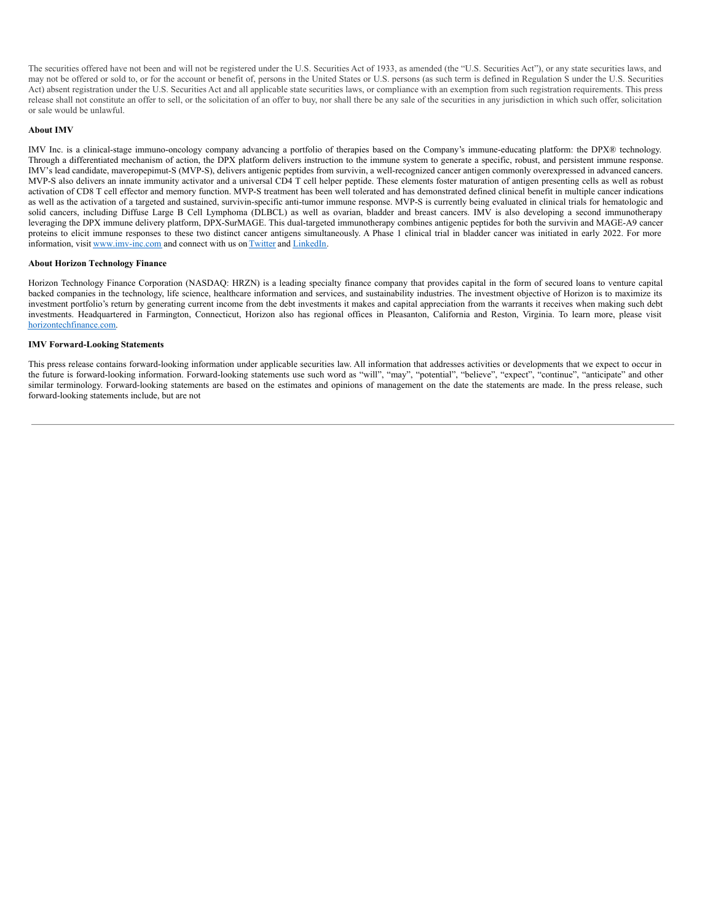<span id="page-4-0"></span>The securities offered have not been and will not be registered under the U.S. Securities Act of 1933, as amended (the "U.S. Securities Act"), or any state securities laws, and may not be offered or sold to, or for the account or benefit of, persons in the United States or U.S. persons (as such term is defined in Regulation S under the U.S. Securities Act) absent registration under the U.S. Securities Act and all applicable state securities laws, or compliance with an exemption from such registration requirements. This press release shall not constitute an offer to sell, or the solicitation of an offer to buy, nor shall there be any sale of the securities in any jurisdiction in which such offer, solicitation or sale would be unlawful.

#### **About IMV**

IMV Inc. is a clinical-stage immuno-oncology company advancing a portfolio of therapies based on the Company's immune-educating platform: the DPX® technology. Through a differentiated mechanism of action, the DPX platform delivers instruction to the immune system to generate a specific, robust, and persistent immune response. IMV's lead candidate, maveropepimut-S (MVP-S), delivers antigenic peptides from survivin, a well-recognized cancer antigen commonly overexpressed in advanced cancers. MVP-S also delivers an innate immunity activator and a universal CD4 T cell helper peptide. These elements foster maturation of antigen presenting cells as well as robust activation of CD8 T cell effector and memory function. MVP-S treatment has been well tolerated and has demonstrated defined clinical benefit in multiple cancer indications as well as the activation of a targeted and sustained, survivin-specific anti-tumor immune response. MVP-S is currently being evaluated in clinical trials for hematologic and solid cancers, including Diffuse Large B Cell Lymphoma (DLBCL) as well as ovarian, bladder and breast cancers. IMV is also developing a second immunotherapy leveraging the DPX immune delivery platform, DPX-SurMAGE. This dual-targeted immunotherapy combines antigenic peptides for both the survivin and MAGE-A9 cancer proteins to elicit immune responses to these two distinct cancer antigens simultaneously. A Phase 1 clinical trial in bladder cancer was initiated in early 2022. For more information, visit www.imv-inc.com and connect with us on Twitter and LinkedIn.

#### **About Horizon Technology Finance**

Horizon Technology Finance Corporation (NASDAQ: HRZN) is a leading specialty finance company that provides capital in the form of secured loans to venture capital backed companies in the technology, life science, healthcare information and services, and sustainability industries. The investment objective of Horizon is to maximize its investment portfolio's return by generating current income from the debt investments it makes and capital appreciation from the warrants it receives when making such debt investments. Headquartered in Farmington, Connecticut, Horizon also has regional offices in Pleasanton, California and Reston, Virginia. To learn more, please visit horizontechfinance.com.

## **IMV Forward-Looking Statements**

This press release contains forward-looking information under applicable securities law. All information that addresses activities or developments that we expect to occur in the future is forward-looking information. Forward-looking statements use such word as "will", "may", "potential", "believe", "expect", "continue", "anticipate" and other similar terminology. Forward-looking statements are based on the estimates and opinions of management on the date the statements are made. In the press release, such forward-looking statements include, but are not